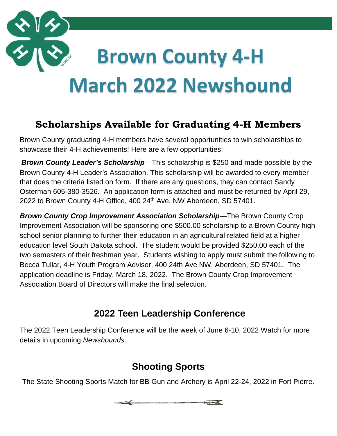

# **Scholarships Available for Graduating 4-H Members**

Brown County graduating 4-H members have several opportunities to win scholarships to showcase their 4-H achievements! Here are a few opportunities:

*Brown County Leader's Scholarship*—This scholarship is \$250 and made possible by the Brown County 4-H Leader's Association. This scholarship will be awarded to every member that does the criteria listed on form. If there are any questions, they can contact Sandy Osterman 605-380-3526. An application form is attached and must be returned by April 29, 2022 to Brown County 4-H Office, 400 24<sup>th</sup> Ave. NW Aberdeen, SD 57401.

*Brown County Crop Improvement Association Scholarship*—The Brown County Crop Improvement Association will be sponsoring one \$500.00 scholarship to a Brown County high school senior planning to further their education in an agricultural related field at a higher education level South Dakota school. The student would be provided \$250.00 each of the two semesters of their freshman year. Students wishing to apply must submit the following to Becca Tullar, 4-H Youth Program Advisor, 400 24th Ave NW, Aberdeen, SD 57401. The application deadline is Friday, March 18, 2022. The Brown County Crop Improvement Association Board of Directors will make the final selection.

#### **2022 Teen Leadership Conference**

The 2022 Teen Leadership Conference will be the week of June 6-10, 2022 Watch for more details in upcoming *Newshounds.* 

#### **Shooting Sports**

The State Shooting Sports Match for BB Gun and Archery is April 22-24, 2022 in Fort Pierre.

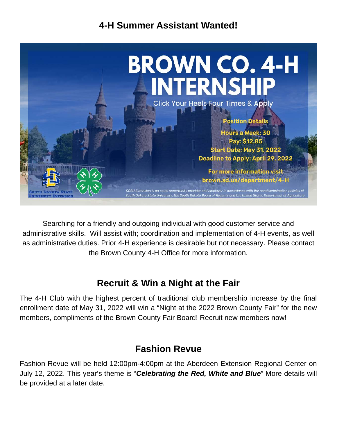#### **4-H Summer Assistant Wanted!**



Searching for a friendly and outgoing individual with good customer service and administrative skills. Will assist with; coordination and implementation of 4-H events, as well as administrative duties. Prior 4-H experience is desirable but not necessary. Please contact the Brown County 4-H Office for more information.

#### **Recruit & Win a Night at the Fair**

The 4-H Club with the highest percent of traditional club membership increase by the final enrollment date of May 31, 2022 will win a "Night at the 2022 Brown County Fair" for the new members, compliments of the Brown County Fair Board! Recruit new members now!

#### **Fashion Revue**

Fashion Revue will be held 12:00pm-4:00pm at the Aberdeen Extension Regional Center on July 12, 2022. This year's theme is "*Celebrating the Red, White and Blue*" More details will be provided at a later date.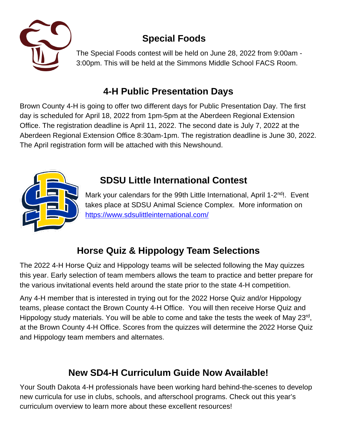

# **Special Foods**

The Special Foods contest will be held on June 28, 2022 from 9:00am - 3:00pm. This will be held at the Simmons Middle School FACS Room.

## **4-H Public Presentation Days**

Brown County 4-H is going to offer two different days for Public Presentation Day. The first day is scheduled for April 18, 2022 from 1pm-5pm at the Aberdeen Regional Extension Office. The registration deadline is April 11, 2022. The second date is July 7, 2022 at the Aberdeen Regional Extension Office 8:30am-1pm. The registration deadline is June 30, 2022. The April registration form will be attached with this Newshound.



## **SDSU Little International Contest**

Mark your calendars for the 99th Little International, April 1-2nd!. Event takes place at SDSU Animal Science Complex. More information on <https://www.sdsulittleinternational.com/>

# **Horse Quiz & Hippology Team Selections**

The 2022 4-H Horse Quiz and Hippology teams will be selected following the May quizzes this year. Early selection of team members allows the team to practice and better prepare for the various invitational events held around the state prior to the state 4-H competition.

Any 4-H member that is interested in trying out for the 2022 Horse Quiz and/or Hippology teams, please contact the Brown County 4-H Office. You will then receive Horse Quiz and Hippology study materials. You will be able to come and take the tests the week of May 23rd, at the Brown County 4-H Office. Scores from the quizzes will determine the 2022 Horse Quiz and Hippology team members and alternates.

# **New SD4-H Curriculum Guide Now Available!**

Your South Dakota 4-H professionals have been working hard behind-the-scenes to develop new curricula for use in clubs, schools, and afterschool programs. Check out this year's curriculum overview to learn more about these excellent resources!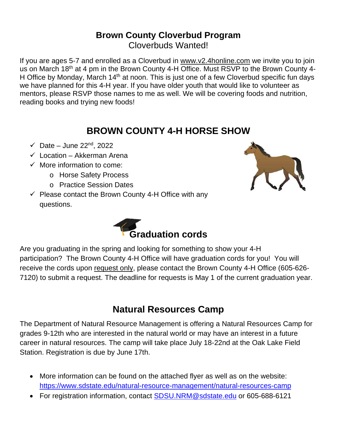#### **Brown County Cloverbud Program** Cloverbuds Wanted!

If you are ages 5-7 and enrolled as a Cloverbud in [www.v2.4honline.com](http://www.v2.4honline.com/) we invite you to join us on March 18<sup>th</sup> at 4 pm in the Brown County 4-H Office. Must RSVP to the Brown County 4-H Office by Monday, March 14<sup>th</sup> at noon. This is just one of a few Cloverbud specific fun days we have planned for this 4-H year. If you have older youth that would like to volunteer as mentors, please RSVP those names to me as well. We will be covering foods and nutrition, reading books and trying new foods!

#### **BROWN COUNTY 4-H HORSE SHOW**

- $\checkmark$  Date June 22<sup>nd</sup>, 2022
- $\checkmark$  Location Akkerman Arena
- $\checkmark$  More information to come:
	- o Horse Safety Process
	- o Practice Session Dates
- $\checkmark$  Please contact the Brown County 4-H Office with any questions.





Are you graduating in the spring and looking for something to show your 4-H participation? The Brown County 4-H Office will have graduation cords for you! You will receive the cords upon request only, please contact the Brown County 4-H Office (605-626- 7120) to submit a request. The deadline for requests is May 1 of the current graduation year.

#### **Natural Resources Camp**

The Department of Natural Resource Management is offering a Natural Resources Camp for grades 9-12th who are interested in the natural world or may have an interest in a future career in natural resources. The camp will take place July 18-22nd at the Oak Lake Field Station. Registration is due by June 17th.

- More information can be found on the attached flyer as well as on the website: <https://www.sdstate.edu/natural-resource-management/natural-resources-camp>
- For registration information, contact **SDSU.NRM@sdstate.edu or 605-688-6121**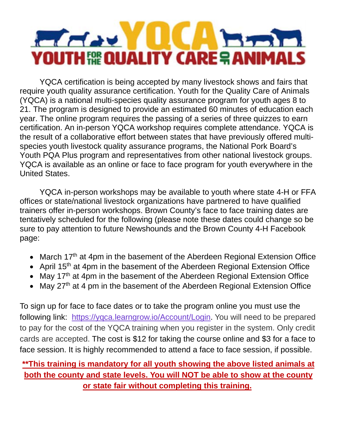

YQCA certification is being accepted by many livestock shows and fairs that require youth quality assurance certification. Youth for the Quality Care of Animals (YQCA) is a national multi-species quality assurance program for youth ages 8 to 21. The program is designed to provide an estimated 60 minutes of education each year. The online program requires the passing of a series of three quizzes to earn certification. An in-person YQCA workshop requires complete attendance. YQCA is the result of a collaborative effort between states that have previously offered multispecies youth livestock quality assurance programs, the National Pork Board's Youth PQA Plus program and representatives from other national livestock groups. YQCA is available as an online or face to face program for youth everywhere in the United States.

YQCA in-person workshops may be available to youth where state 4-H or FFA offices or state/national livestock organizations have partnered to have qualified trainers offer in-person workshops. Brown County's face to face training dates are tentatively scheduled for the following (please note these dates could change so be sure to pay attention to future Newshounds and the Brown County 4-H Facebook page:

- March 17<sup>th</sup> at 4pm in the basement of the Aberdeen Regional Extension Office
- April 15<sup>th</sup> at 4pm in the basement of the Aberdeen Regional Extension Office
- May 17<sup>th</sup> at 4pm in the basement of the Aberdeen Regional Extension Office
- May 27<sup>th</sup> at 4 pm in the basement of the Aberdeen Regional Extension Office

To sign up for face to face dates or to take the program online you must use the following link: [https://yqca.learngrow.io/Account/Login.](https://yqca.learngrow.io/Account/Login) You will need to be prepared to pay for the cost of the YQCA training when you register in the system. Only credit cards are accepted. The cost is \$12 for taking the course online and \$3 for a face to face session. It is highly recommended to attend a face to face session, if possible.

#### **\*\*This training is mandatory for all youth showing the above listed animals at both the county and state levels. You will NOT be able to show at the county or state fair without completing this training.**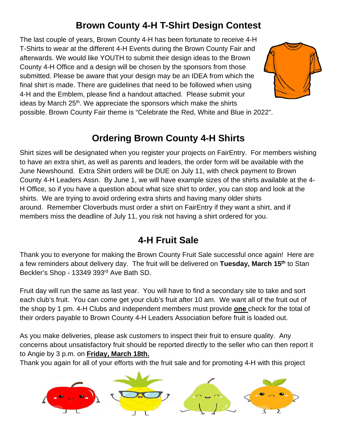## **Brown County 4-H T-Shirt Design Contest**

The last couple of years, Brown County 4-H has been fortunate to receive 4-H T-Shirts to wear at the different 4-H Events during the Brown County Fair and afterwards. We would like YOUTH to submit their design ideas to the Brown County 4-H Office and a design will be chosen by the sponsors from those submitted. Please be aware that your design may be an IDEA from which the final shirt is made. There are guidelines that need to be followed when using 4-H and the Emblem, please find a handout attached. Please submit your ideas by March 25<sup>th</sup>. We appreciate the sponsors which make the shirts



possible. Brown County Fair theme is "Celebrate the Red, White and Blue in 2022".

#### **Ordering Brown County 4-H Shirts**

Shirt sizes will be designated when you register your projects on FairEntry. For members wishing to have an extra shirt, as well as parents and leaders, the order form will be available with the June Newshound. Extra Shirt orders will be DUE on July 11, with check payment to Brown County 4-H Leaders Assn. By June 1, we will have example sizes of the shirts available at the 4- H Office, so if you have a question about what size shirt to order, you can stop and look at the shirts. We are trying to avoid ordering extra shirts and having many older shirts around. Remember Cloverbuds must order a shirt on FairEntry if they want a shirt, and if members miss the deadline of July 11, you risk not having a shirt ordered for you.

#### **4-H Fruit Sale**

Thank you to everyone for making the Brown County Fruit Sale successful once again! Here are a few reminders about delivery day. The fruit will be delivered on **Tuesday, March 15th** to Stan Beckler's Shop - 13349 393rd Ave Bath SD.

Fruit day will run the same as last year. You will have to find a secondary site to take and sort each club's fruit. You can come get your club's fruit after 10 am. We want all of the fruit out of the shop by 1 pm. 4-H Clubs and independent members must provide **one** check for the total of their orders payable to Brown County 4-H Leaders Association before fruit is loaded out.

As you make deliveries, please ask customers to inspect their fruit to ensure quality. Any concerns about unsatisfactory fruit should be reported directly to the seller who can then report it to Angie by 3 p.m. on **Friday, March 18th.**

Thank you again for all of your efforts with the fruit sale and for promoting 4-H with this project

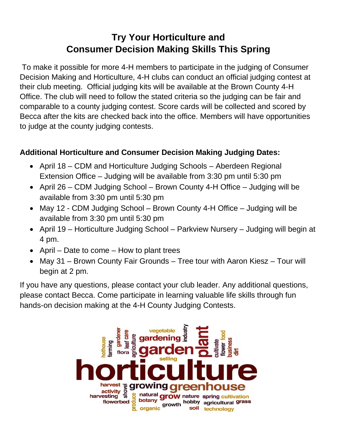#### **Try Your Horticulture and Consumer Decision Making Skills This Spring**

To make it possible for more 4-H members to participate in the judging of Consumer Decision Making and Horticulture, 4-H clubs can conduct an official judging contest at their club meeting. Official judging kits will be available at the Brown County 4-H Office. The club will need to follow the stated criteria so the judging can be fair and comparable to a county judging contest. Score cards will be collected and scored by Becca after the kits are checked back into the office. Members will have opportunities to judge at the county judging contests.

#### **Additional Horticulture and Consumer Decision Making Judging Dates:**

- April 18 CDM and Horticulture Judging Schools Aberdeen Regional Extension Office – Judging will be available from 3:30 pm until 5:30 pm
- April 26 CDM Judging School Brown County 4-H Office Judging will be available from 3:30 pm until 5:30 pm
- May 12 CDM Judging School Brown County 4-H Office Judging will be available from 3:30 pm until 5:30 pm
- April 19 Horticulture Judging School Parkview Nursery Judging will begin at 4 pm.
- April Date to come How to plant trees
- May 31 Brown County Fair Grounds Tree tour with Aaron Kiesz Tour will begin at 2 pm.

If you have any questions, please contact your club leader. Any additional questions, please contact Becca. Come participate in learning valuable life skills through fun hands-on decision making at the 4-H County Judging Contests.

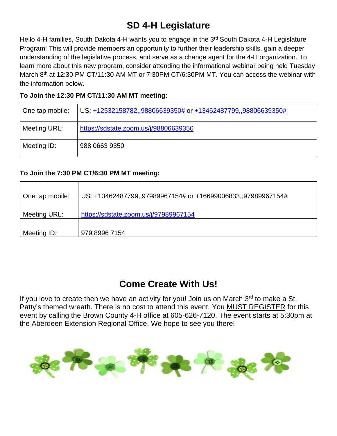#### **SD 4-H Legislature**

Hello 4-H families, South Dakota 4-H wants you to engage in the 3<sup>rd</sup> South Dakota 4-H Legislature Program! This will provide members an opportunity to further their leadership skills, gain a deeper understanding of the legislative process, and serve as a change agent for the 4-H organization. To learn more about this new program, consider attending the informational webinar being held Tuesday March 8<sup>th</sup> at 12:30 PM CT/11:30 AM MT or 7:30PM CT/6:30PM MT. You can access the webinar with the information below.

#### **To Join the 12:30 PM CT/11:30 AM MT meeting:**

| One tap mobile: | US: +12532158782,,98806639350# or +13462487799,,98806639350# |
|-----------------|--------------------------------------------------------------|
| Meeting URL:    | https://sdstate.zoom.us/j/98806639350                        |
| Meeting ID:     | 988 0663 9350                                                |

#### **To Join the 7:30 PM CT/6:30 PM MT meeting:**

| One tap mobile: | US: +13462487799,,97989967154# or +16699006833,,97989967154# |
|-----------------|--------------------------------------------------------------|
| Meeting URL:    | https://sdstate.zoom.us/j/97989967154                        |
| Meeting ID:     | 979 8996 7154                                                |

#### **Come Create With Us!**

If you love to create then we have an activity for you! Join us on March  $3<sup>rd</sup>$  to make a St. Patty's themed wreath. There is no cost to attend this event. You MUST REGISTER for this event by calling the Brown County 4-H office at 605-626-7120. The event starts at 5:30pm at the Aberdeen Extension Regional Office. We hope to see you there!

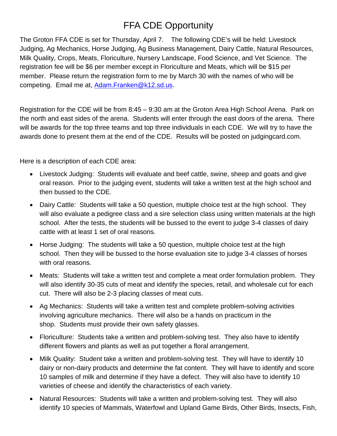## FFA CDE Opportunity

The Groton FFA CDE is set for Thursday, April 7. The following CDE's will be held: Livestock Judging, Ag Mechanics, Horse Judging, Ag Business Management, Dairy Cattle, Natural Resources, Milk Quality, Crops, Meats, Floriculture, Nursery Landscape, Food Science, and Vet Science. The registration fee will be \$6 per member except in Floriculture and Meats, which will be \$15 per member. Please return the registration form to me by March 30 with the names of who will be competing. Email me at, [Adam.Franken@k12.sd.us.](mailto:Adam.Franken@k12.sd.us)

Registration for the CDE will be from 8:45 – 9:30 am at the Groton Area High School Arena. Park on the north and east sides of the arena. Students will enter through the east doors of the arena. There will be awards for the top three teams and top three individuals in each CDE. We will try to have the awards done to present them at the end of the CDE. Results will be posted on judgingcard.com.

Here is a description of each CDE area:

- Livestock Judging: Students will evaluate and beef cattle, swine, sheep and goats and give oral reason. Prior to the judging event, students will take a written test at the high school and then bussed to the CDE.
- Dairy Cattle: Students will take a 50 question, multiple choice test at the high school. They will also evaluate a pedigree class and a sire selection class using written materials at the high school. After the tests, the students will be bussed to the event to judge 3-4 classes of dairy cattle with at least 1 set of oral reasons.
- Horse Judging: The students will take a 50 question, multiple choice test at the high school. Then they will be bussed to the horse evaluation site to judge 3-4 classes of horses with oral reasons.
- Meats: Students will take a written test and complete a meat order formulation problem. They will also identify 30-35 cuts of meat and identify the species, retail, and wholesale cut for each cut. There will also be 2-3 placing classes of meat cuts.
- Ag Mechanics: Students will take a written test and complete problem-solving activities involving agriculture mechanics. There will also be a hands on practicum in the shop. Students must provide their own safety glasses.
- Floriculture: Students take a written and problem-solving test. They also have to identify different flowers and plants as well as put together a floral arrangement.
- Milk Quality: Student take a written and problem-solving test. They will have to identify 10 dairy or non-dairy products and determine the fat content. They will have to identify and score 10 samples of milk and determine if they have a defect. They will also have to identify 10 varieties of cheese and identify the characteristics of each variety.
- Natural Resources: Students will take a written and problem-solving test. They will also identify 10 species of Mammals, Waterfowl and Upland Game Birds, Other Birds, Insects, Fish,